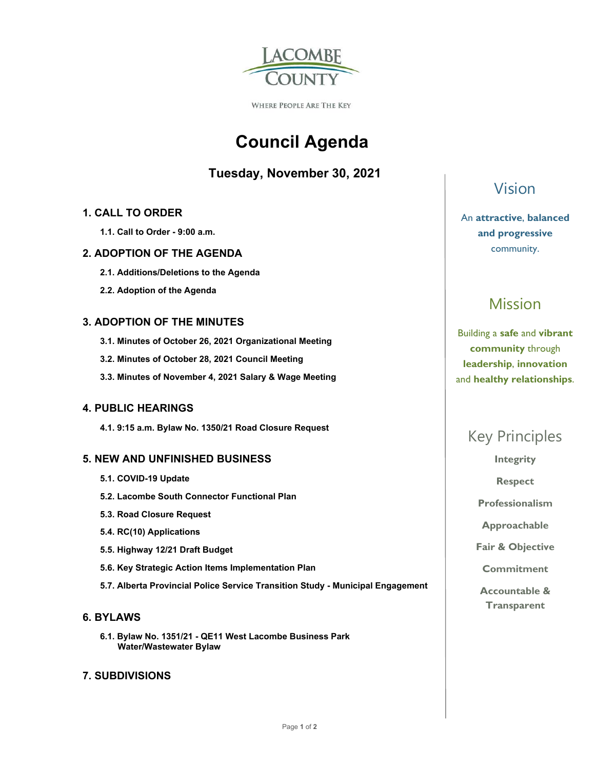

WHERE PEOPLE ARE THE KEY

# **Council Agenda**

### **Tuesday, November 30, 2021**

#### **1. CALL TO ORDER**

 **1.1. Call to Order - 9:00 a.m.** 

#### **2. ADOPTION OF THE AGENDA**

- **2.1. Additions/Deletions to the Agenda**
- **2.2. Adoption of the Agenda**

#### **3. ADOPTION OF THE MINUTES**

- **3.1. Minutes of October 26, 2021 Organizational Meeting**
- **3.2. Minutes of October 28, 2021 Council Meeting**
- **3.3. Minutes of November 4, 2021 Salary & Wage Meeting**

#### **4. PUBLIC HEARINGS**

 **4.1. 9:15 a.m. Bylaw No. 1350/21 Road Closure Request** 

#### **5. NEW AND UNFINISHED BUSINESS**

- **5.1. COVID-19 Update**
- **5.2. Lacombe South Connector Functional Plan**
- **5.3. Road Closure Request**
- **5.4. RC(10) Applications**
- **5.5. Highway 12/21 Draft Budget**
- **5.6. Key Strategic Action Items Implementation Plan**
- **5.7. Alberta Provincial Police Service Transition Study Municipal Engagement**

#### **6. BYLAWS**

 **6.1. Bylaw No. 1351/21 - QE11 West Lacombe Business Park Water/Wastewater Bylaw** 

#### **7. SUBDIVISIONS**

## Vision

An **attractive**, **balanced and progressive**  community.

# Mission

Building a **safe** and **vibrant community** through **leadership**, **innovation**  and **healthy relationships**.

## Key Principles

**Integrity** 

**Respect** 

**Professionalism** 

**Approachable** 

**Fair & Objective** 

**Commitment** 

**Accountable & Transparent**